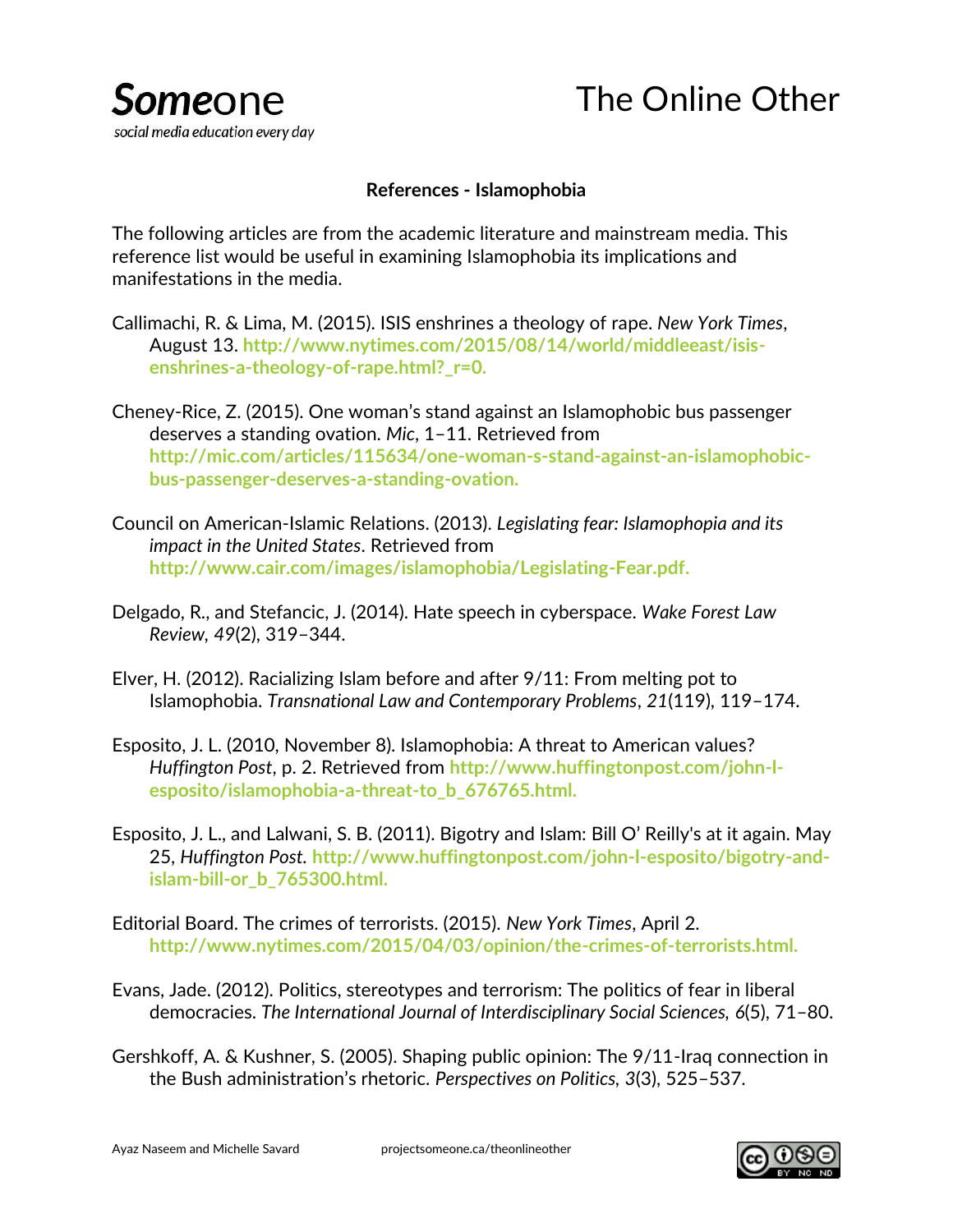

## **References - Islamophobia**

The following articles are from the academic literature and mainstream media. This reference list would be useful in examining Islamophobia its implications and manifestations in the media.

- Callimachi, R. & Lima, M. (2015). ISIS enshrines a theology of rape. *New York Times*, August 13. **http://www.nytimes.com/2015/08/14/world/middleeast/isisenshrines-a-theology-of-rape.html?\_r=0.**
- Cheney-Rice, Z. (2015). One woman's stand against an Islamophobic bus passenger deserves a standing ovation. *Mic*, 1–11. Retrieved from **http://mic.com/articles/115634/one-woman-s-stand-against-an-islamophobicbus-passenger-deserves-a-standing-ovation.**
- Council on American-Islamic Relations. (2013). *Legislating fear: Islamophopia and its impact in the United States*. Retrieved from **[http://www.cair.com/images/islamophobia/Legislating-Fear.pdf.](http://www.cair.com/images/islamophobia/Legislating-Fear.pdf)**
- Delgado, R., and Stefancic, J. (2014). Hate speech in cyberspace. *Wake Forest Law Review, 49*(2), 319–344.
- Elver, H. (2012). Racializing Islam before and after 9/11: From melting pot to Islamophobia. *Transnational Law and Contemporary Problems*, *21*(119), 119–174.
- Esposito, J. L. (2010, November 8). Islamophobia: A threat to American values? *Huffington Post*, p. 2. Retrieved from **http://www.huffingtonpost.com/john-lesposito/islamophobia-a-threat-to\_b\_676765.html.**
- Esposito, J. L., and Lalwani, S. B. (2011). Bigotry and Islam: Bill O' Reilly's at it again. May 25, *Huffington Post.* **http://www.huffingtonpost.com/john-l-esposito/bigotry-andislam-bill-or\_b\_765300.html.**
- Editorial Board. The crimes of terrorists. (2015). *New York Times*, April 2. **http://www.nytimes.com/2015/04/03/opinion/the-crimes-of-terrorists.html.**
- Evans, Jade. (2012). Politics, stereotypes and terrorism: The politics of fear in liberal democracies. *The International Journal of Interdisciplinary Social Sciences, 6*(5), 71–80.
- Gershkoff, A. & Kushner, S. (2005). Shaping public opinion: The 9/11-Iraq connection in the Bush administration's rhetoric. *Perspectives on Politics, 3*(3), 525–537.

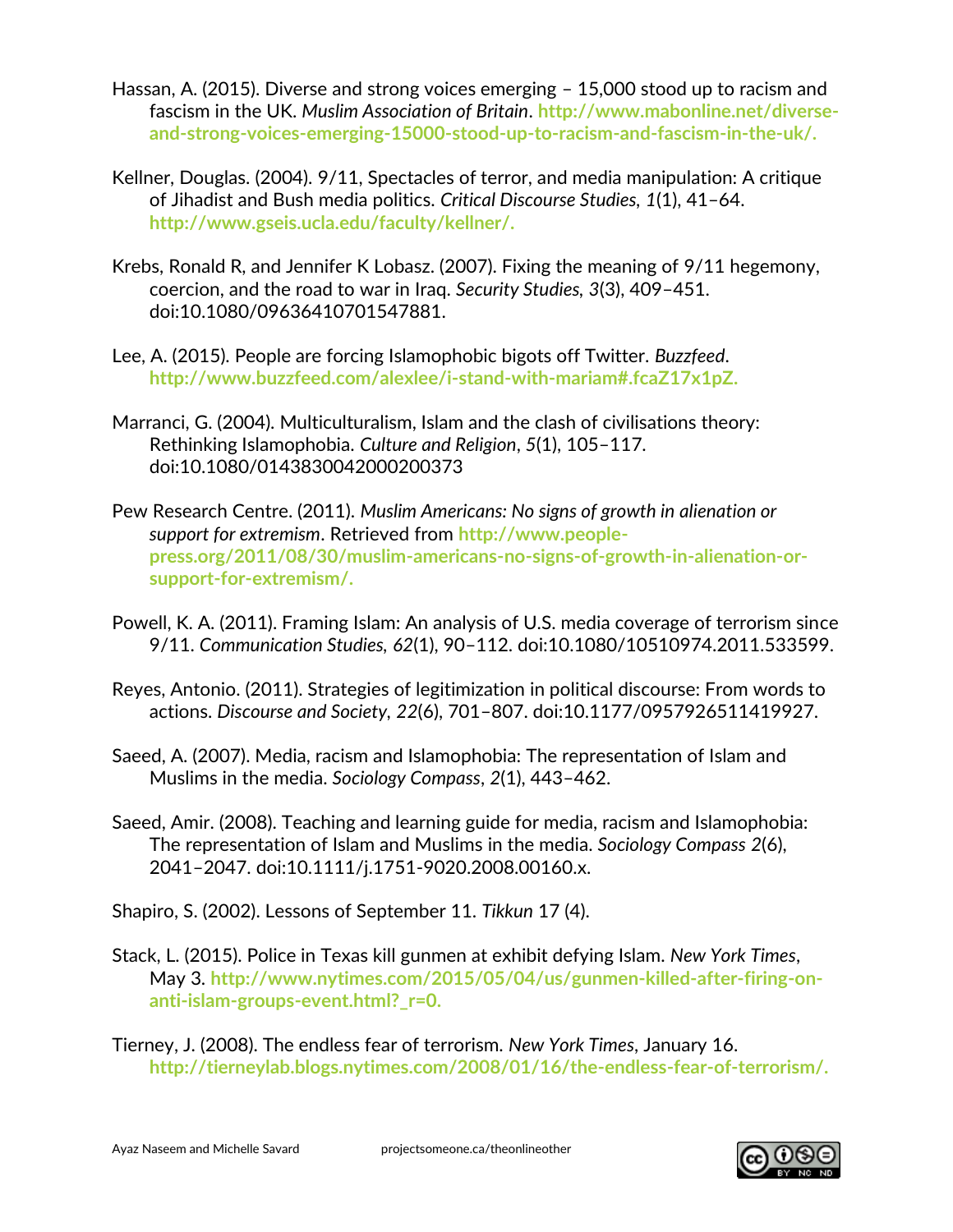- Hassan, A. (2015). Diverse and strong voices emerging 15,000 stood up to racism and fascism in the UK. *Muslim Association of Britain*. **[http://www.mabonline.net/diverse](http://www.mabonline.net/diverse-and-strong-voices-emerging-15000-stood-up-to-racism-and-fascism-in-the-uk/)[and-strong-voices-emerging-15000-stood-up-to-racism-and-fascism-in-the-uk/.](http://www.mabonline.net/diverse-and-strong-voices-emerging-15000-stood-up-to-racism-and-fascism-in-the-uk/)**
- Kellner, Douglas. (2004). 9/11, Spectacles of terror, and media manipulation: A critique of Jihadist and Bush media politics. *Critical Discourse Studies, 1*(1), 41–64. **http://www.gseis.ucla.edu/faculty/kellner/.**
- Krebs, Ronald R, and Jennifer K Lobasz. (2007). Fixing the meaning of 9/11 hegemony, coercion, and the road to war in Iraq. *Security Studies, 3*(3), 409–451. doi:10.1080/09636410701547881.
- Lee, A. (2015). People are forcing Islamophobic bigots off Twitter. *Buzzfeed*. **http://www.buzzfeed.com/alexlee/i-stand-with-mariam#.fcaZ17x1pZ.**
- Marranci, G. (2004). Multiculturalism, Islam and the clash of civilisations theory: Rethinking Islamophobia. *Culture and Religion*, *5*(1), 105–117. doi:10.1080/0143830042000200373
- Pew Research Centre. (2011). *Muslim Americans: No signs of growth in alienation or support for extremism*. Retrieved from **http://www.peoplepress.org/2011/08/30/muslim-americans-no-signs-of-growth-in-alienation-orsupport-for-extremism/.**
- Powell, K. A. (2011). Framing Islam: An analysis of U.S. media coverage of terrorism since 9/11. *Communication Studies, 62*(1), 90–112. doi:10.1080/10510974.2011.533599.
- Reyes, Antonio. (2011). Strategies of legitimization in political discourse: From words to actions. *Discourse and Society, 22*(6), 701–807. doi:10.1177/0957926511419927.
- Saeed, A. (2007). Media, racism and Islamophobia: The representation of Islam and Muslims in the media. *Sociology Compass*, *2*(1), 443–462.
- Saeed, Amir. (2008). Teaching and learning guide for media, racism and Islamophobia: The representation of Islam and Muslims in the media. *Sociology Compass 2*(6), 2041–2047. doi:10.1111/j.1751-9020.2008.00160.x.
- Shapiro, S. (2002). Lessons of September 11. *Tikkun* 17 (4).
- Stack, L. (2015). Police in Texas kill gunmen at exhibit defying Islam. *New York Times*, May 3. **http://www.nytimes.com/2015/05/04/us/gunmen-killed-after-firing-onanti-islam-groups-event.html?\_r=0.**
- Tierney, J. (2008). The endless fear of terrorism. *New York Times*, January 16. **http://tierneylab.blogs.nytimes.com/2008/01/16/the-endless-fear-of-terrorism/.**